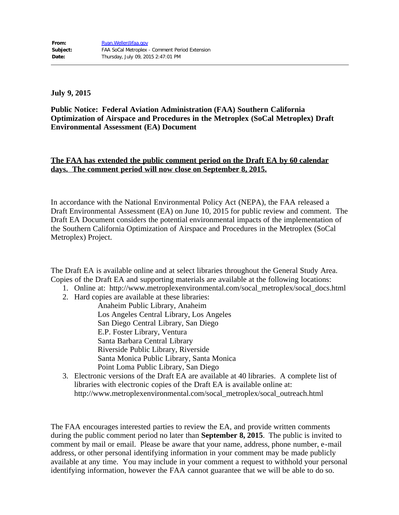**July 9, 2015**

**Public Notice: Federal Aviation Administration (FAA) Southern California Optimization of Airspace and Procedures in the Metroplex (SoCal Metroplex) Draft Environmental Assessment (EA) Document**

## **The FAA has extended the public comment period on the Draft EA by 60 calendar days. The comment period will now close on September 8, 2015.**

In accordance with the National Environmental Policy Act (NEPA), the FAA released a Draft Environmental Assessment (EA) on June 10, 2015 for public review and comment. The Draft EA Document considers the potential environmental impacts of the implementation of the Southern California Optimization of Airspace and Procedures in the Metroplex (SoCal Metroplex) Project.

The Draft EA is available online and at select libraries throughout the General Study Area. Copies of the Draft EA and supporting materials are available at the following locations:

- 1. Online at: http://www.metroplexenvironmental.com/socal\_metroplex/socal\_docs.html
- 2. Hard copies are available at these libraries:
	- Anaheim Public Library, Anaheim Los Angeles Central Library, Los Angeles San Diego Central Library, San Diego E.P. Foster Library, Ventura Santa Barbara Central Library Riverside Public Library, Riverside Santa Monica Public Library, Santa Monica Point Loma Public Library, San Diego
- 3. Electronic versions of the Draft EA are available at 40 libraries. A complete list of libraries with electronic copies of the Draft EA is available online at: http://www.metroplexenvironmental.com/socal\_metroplex/socal\_outreach.html

The FAA encourages interested parties to review the EA, and provide written comments during the public comment period no later than **September 8, 2015**. The public is invited to comment by mail or email. Please be aware that your name, address, phone number, e-mail address, or other personal identifying information in your comment may be made publicly available at any time. You may include in your comment a request to withhold your personal identifying information, however the FAA cannot guarantee that we will be able to do so.